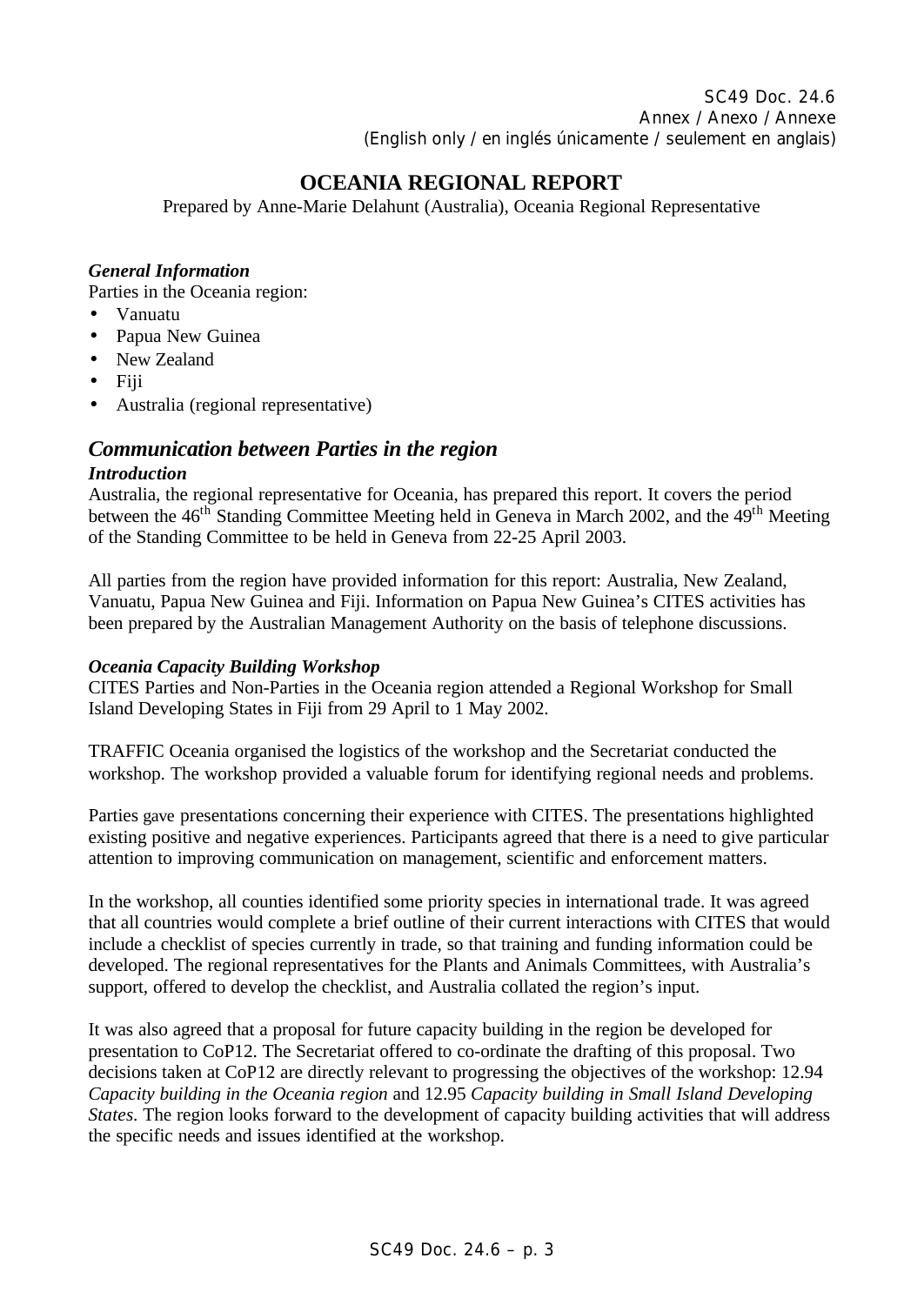SC49 Doc. 24.6 Annex / Anexo / Annexe (English only / en inglés únicamente / seulement en anglais)

# **OCEANIA REGIONAL REPORT**

Prepared by Anne-Marie Delahunt (Australia), Oceania Regional Representative

#### *General Information*

Parties in the Oceania region:

- Vanuatu
- Papua New Guinea
- New Zealand
- $\bullet$  Fiji
- Australia (regional representative)

## *Communication between Parties in the region*

#### *Introduction*

Australia, the regional representative for Oceania, has prepared this report. It covers the period between the  $46<sup>th</sup>$  Standing Committee Meeting held in Geneva in March 2002, and the  $49<sup>th</sup>$  Meeting of the Standing Committee to be held in Geneva from 22-25 April 2003.

All parties from the region have provided information for this report: Australia, New Zealand, Vanuatu, Papua New Guinea and Fiji. Information on Papua New Guinea's CITES activities has been prepared by the Australian Management Authority on the basis of telephone discussions.

## *Oceania Capacity Building Workshop*

CITES Parties and Non-Parties in the Oceania region attended a Regional Workshop for Small Island Developing States in Fiji from 29 April to 1 May 2002.

TRAFFIC Oceania organised the logistics of the workshop and the Secretariat conducted the workshop. The workshop provided a valuable forum for identifying regional needs and problems.

Parties gave presentations concerning their experience with CITES. The presentations highlighted existing positive and negative experiences. Participants agreed that there is a need to give particular attention to improving communication on management, scientific and enforcement matters.

In the workshop, all counties identified some priority species in international trade. It was agreed that all countries would complete a brief outline of their current interactions with CITES that would include a checklist of species currently in trade, so that training and funding information could be developed. The regional representatives for the Plants and Animals Committees, with Australia's support, offered to develop the checklist, and Australia collated the region's input.

It was also agreed that a proposal for future capacity building in the region be developed for presentation to CoP12. The Secretariat offered to co-ordinate the drafting of this proposal. Two decisions taken at CoP12 are directly relevant to progressing the objectives of the workshop: 12.94 *Capacity building in the Oceania region* and 12.95 *Capacity building in Small Island Developing States.* The region looks forward to the development of capacity building activities that will address the specific needs and issues identified at the workshop.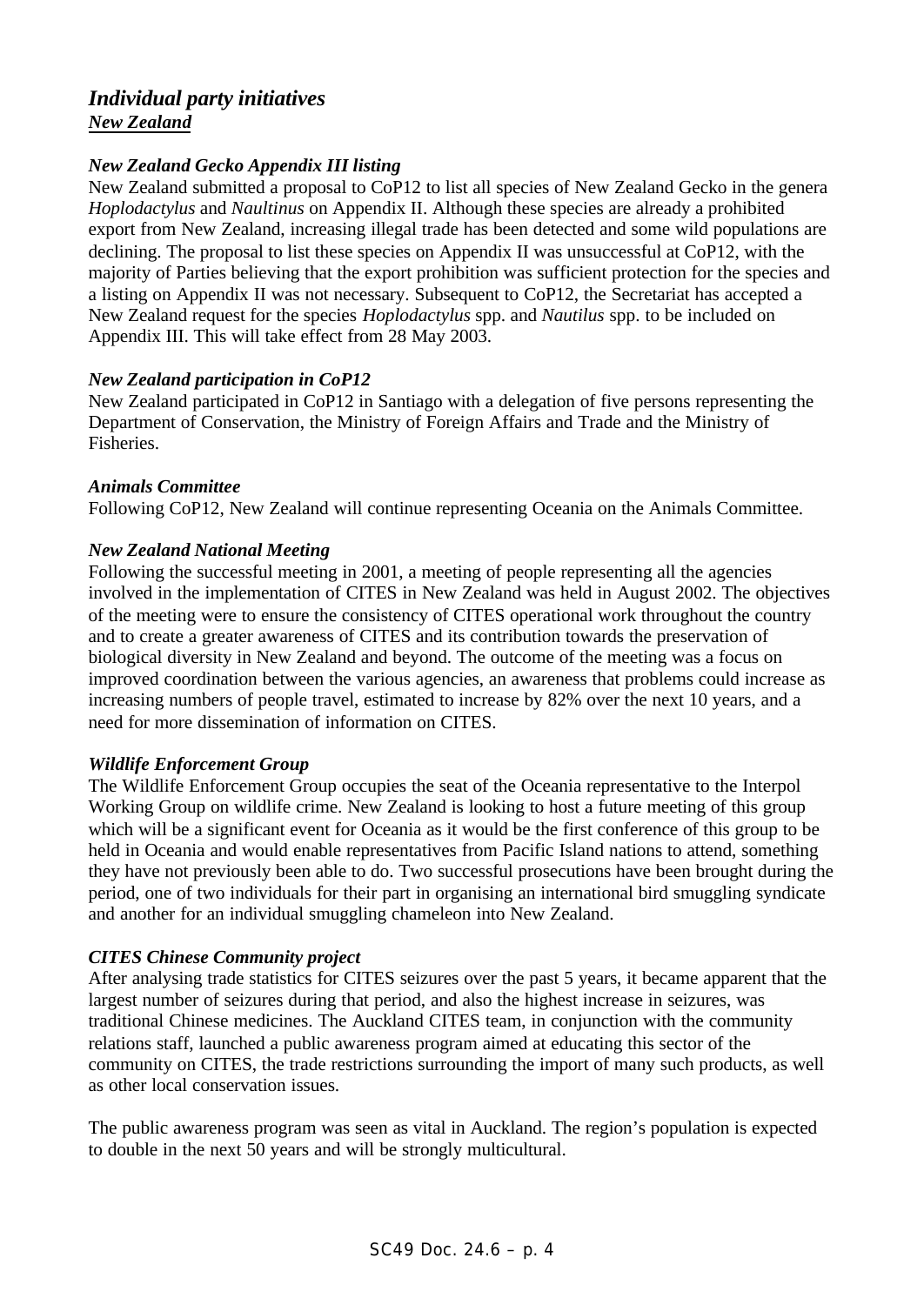## *Individual party initiatives New Zealand*

## *New Zealand Gecko Appendix III listing*

New Zealand submitted a proposal to CoP12 to list all species of New Zealand Gecko in the genera *Hoplodactylus* and *Naultinus* on Appendix II. Although these species are already a prohibited export from New Zealand, increasing illegal trade has been detected and some wild populations are declining. The proposal to list these species on Appendix II was unsuccessful at CoP12, with the majority of Parties believing that the export prohibition was sufficient protection for the species and a listing on Appendix II was not necessary. Subsequent to CoP12, the Secretariat has accepted a New Zealand request for the species *Hoplodactylus* spp. and *Nautilus* spp. to be included on Appendix III. This will take effect from 28 May 2003.

## *New Zealand participation in CoP12*

New Zealand participated in CoP12 in Santiago with a delegation of five persons representing the Department of Conservation, the Ministry of Foreign Affairs and Trade and the Ministry of Fisheries.

## *Animals Committee*

Following CoP12, New Zealand will continue representing Oceania on the Animals Committee.

#### *New Zealand National Meeting*

Following the successful meeting in 2001, a meeting of people representing all the agencies involved in the implementation of CITES in New Zealand was held in August 2002. The objectives of the meeting were to ensure the consistency of CITES operational work throughout the country and to create a greater awareness of CITES and its contribution towards the preservation of biological diversity in New Zealand and beyond. The outcome of the meeting was a focus on improved coordination between the various agencies, an awareness that problems could increase as increasing numbers of people travel, estimated to increase by 82% over the next 10 years, and a need for more dissemination of information on CITES.

## *Wildlife Enforcement Group*

The Wildlife Enforcement Group occupies the seat of the Oceania representative to the Interpol Working Group on wildlife crime. New Zealand is looking to host a future meeting of this group which will be a significant event for Oceania as it would be the first conference of this group to be held in Oceania and would enable representatives from Pacific Island nations to attend, something they have not previously been able to do. Two successful prosecutions have been brought during the period, one of two individuals for their part in organising an international bird smuggling syndicate and another for an individual smuggling chameleon into New Zealand.

## *CITES Chinese Community project*

After analysing trade statistics for CITES seizures over the past 5 years, it became apparent that the largest number of seizures during that period, and also the highest increase in seizures, was traditional Chinese medicines. The Auckland CITES team, in conjunction with the community relations staff, launched a public awareness program aimed at educating this sector of the community on CITES, the trade restrictions surrounding the import of many such products, as well as other local conservation issues.

The public awareness program was seen as vital in Auckland. The region's population is expected to double in the next 50 years and will be strongly multicultural.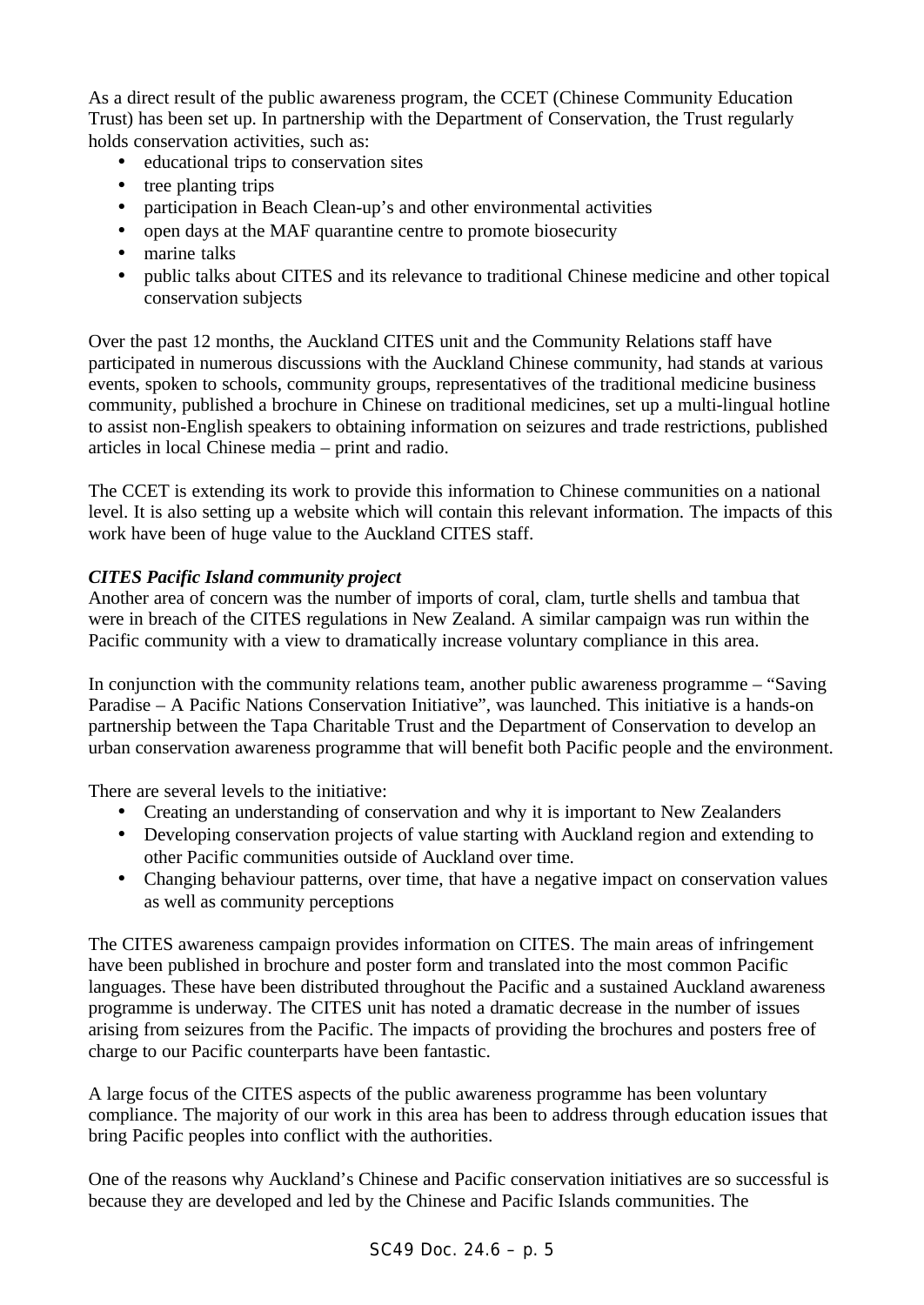As a direct result of the public awareness program, the CCET (Chinese Community Education Trust) has been set up. In partnership with the Department of Conservation, the Trust regularly holds conservation activities, such as:

- educational trips to conservation sites
- tree planting trips
- participation in Beach Clean-up's and other environmental activities
- open days at the MAF quarantine centre to promote biosecurity
- marine talks
- public talks about CITES and its relevance to traditional Chinese medicine and other topical conservation subjects

Over the past 12 months, the Auckland CITES unit and the Community Relations staff have participated in numerous discussions with the Auckland Chinese community, had stands at various events, spoken to schools, community groups, representatives of the traditional medicine business community, published a brochure in Chinese on traditional medicines, set up a multi-lingual hotline to assist non-English speakers to obtaining information on seizures and trade restrictions, published articles in local Chinese media – print and radio.

The CCET is extending its work to provide this information to Chinese communities on a national level. It is also setting up a website which will contain this relevant information. The impacts of this work have been of huge value to the Auckland CITES staff.

## *CITES Pacific Island community project*

Another area of concern was the number of imports of coral, clam, turtle shells and tambua that were in breach of the CITES regulations in New Zealand. A similar campaign was run within the Pacific community with a view to dramatically increase voluntary compliance in this area.

In conjunction with the community relations team, another public awareness programme – "Saving Paradise – A Pacific Nations Conservation Initiative", was launched. This initiative is a hands-on partnership between the Tapa Charitable Trust and the Department of Conservation to develop an urban conservation awareness programme that will benefit both Pacific people and the environment.

There are several levels to the initiative:

- Creating an understanding of conservation and why it is important to New Zealanders
- Developing conservation projects of value starting with Auckland region and extending to other Pacific communities outside of Auckland over time.
- Changing behaviour patterns, over time, that have a negative impact on conservation values as well as community perceptions

The CITES awareness campaign provides information on CITES. The main areas of infringement have been published in brochure and poster form and translated into the most common Pacific languages. These have been distributed throughout the Pacific and a sustained Auckland awareness programme is underway. The CITES unit has noted a dramatic decrease in the number of issues arising from seizures from the Pacific. The impacts of providing the brochures and posters free of charge to our Pacific counterparts have been fantastic.

A large focus of the CITES aspects of the public awareness programme has been voluntary compliance. The majority of our work in this area has been to address through education issues that bring Pacific peoples into conflict with the authorities.

One of the reasons why Auckland's Chinese and Pacific conservation initiatives are so successful is because they are developed and led by the Chinese and Pacific Islands communities. The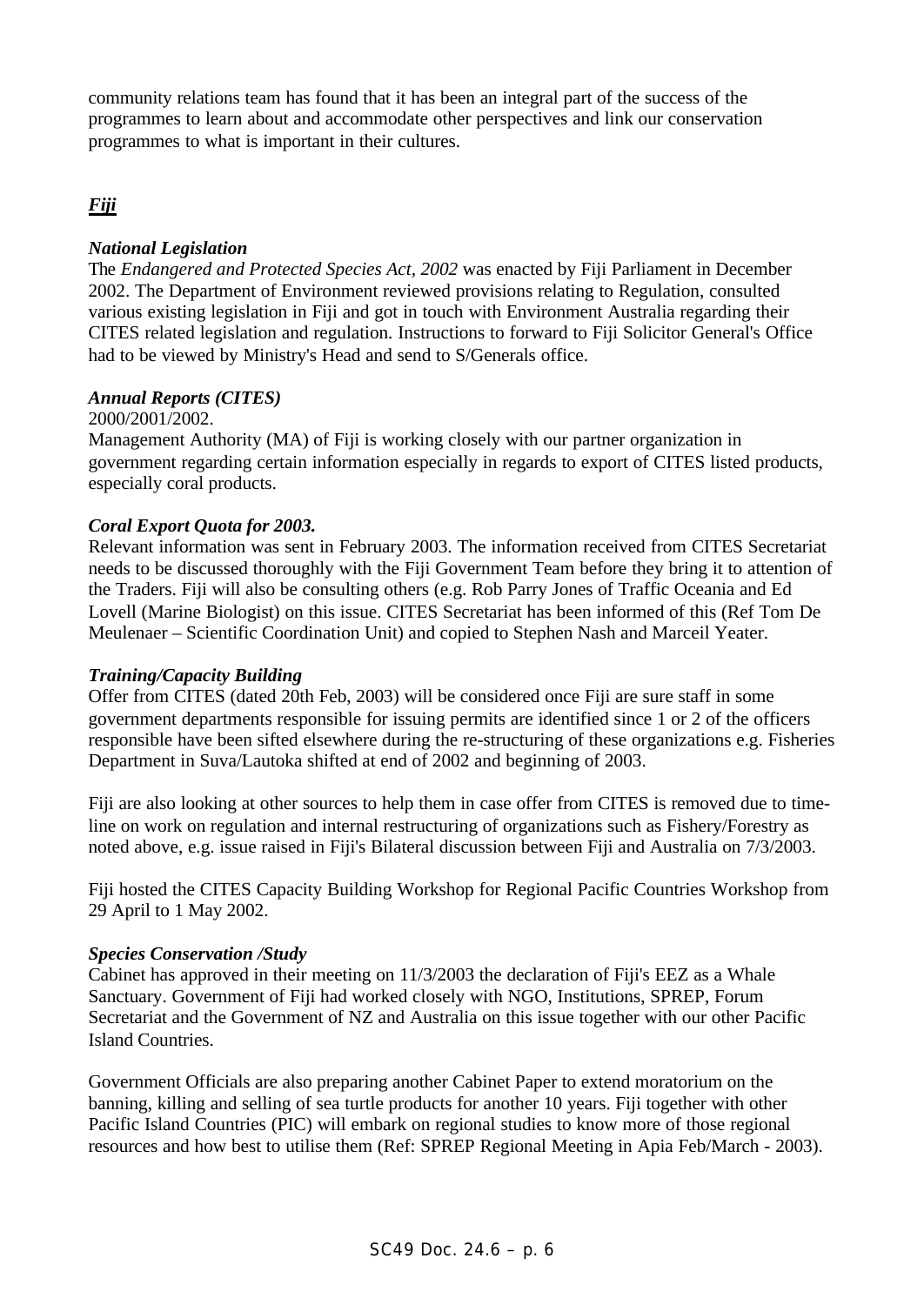community relations team has found that it has been an integral part of the success of the programmes to learn about and accommodate other perspectives and link our conservation programmes to what is important in their cultures.

## *Fiji*

#### *National Legislation*

The *Endangered and Protected Species Act, 2002* was enacted by Fiji Parliament in December 2002. The Department of Environment reviewed provisions relating to Regulation, consulted various existing legislation in Fiji and got in touch with Environment Australia regarding their CITES related legislation and regulation. Instructions to forward to Fiji Solicitor General's Office had to be viewed by Ministry's Head and send to S/Generals office.

## *Annual Reports (CITES)*

#### 2000/2001/2002.

Management Authority (MA) of Fiji is working closely with our partner organization in government regarding certain information especially in regards to export of CITES listed products, especially coral products.

#### *Coral Export Quota for 2003.*

Relevant information was sent in February 2003. The information received from CITES Secretariat needs to be discussed thoroughly with the Fiji Government Team before they bring it to attention of the Traders. Fiji will also be consulting others (e.g. Rob Parry Jones of Traffic Oceania and Ed Lovell (Marine Biologist) on this issue. CITES Secretariat has been informed of this (Ref Tom De Meulenaer – Scientific Coordination Unit) and copied to Stephen Nash and Marceil Yeater.

#### *Training/Capacity Building*

Offer from CITES (dated 20th Feb, 2003) will be considered once Fiji are sure staff in some government departments responsible for issuing permits are identified since 1 or 2 of the officers responsible have been sifted elsewhere during the re-structuring of these organizations e.g. Fisheries Department in Suva/Lautoka shifted at end of 2002 and beginning of 2003.

Fiji are also looking at other sources to help them in case offer from CITES is removed due to timeline on work on regulation and internal restructuring of organizations such as Fishery/Forestry as noted above, e.g. issue raised in Fiji's Bilateral discussion between Fiji and Australia on 7/3/2003.

Fiji hosted the CITES Capacity Building Workshop for Regional Pacific Countries Workshop from 29 April to 1 May 2002.

#### *Species Conservation /Study*

Cabinet has approved in their meeting on 11/3/2003 the declaration of Fiji's EEZ as a Whale Sanctuary. Government of Fiji had worked closely with NGO, Institutions, SPREP, Forum Secretariat and the Government of NZ and Australia on this issue together with our other Pacific Island Countries.

Government Officials are also preparing another Cabinet Paper to extend moratorium on the banning, killing and selling of sea turtle products for another 10 years. Fiji together with other Pacific Island Countries (PIC) will embark on regional studies to know more of those regional resources and how best to utilise them (Ref: SPREP Regional Meeting in Apia Feb/March - 2003).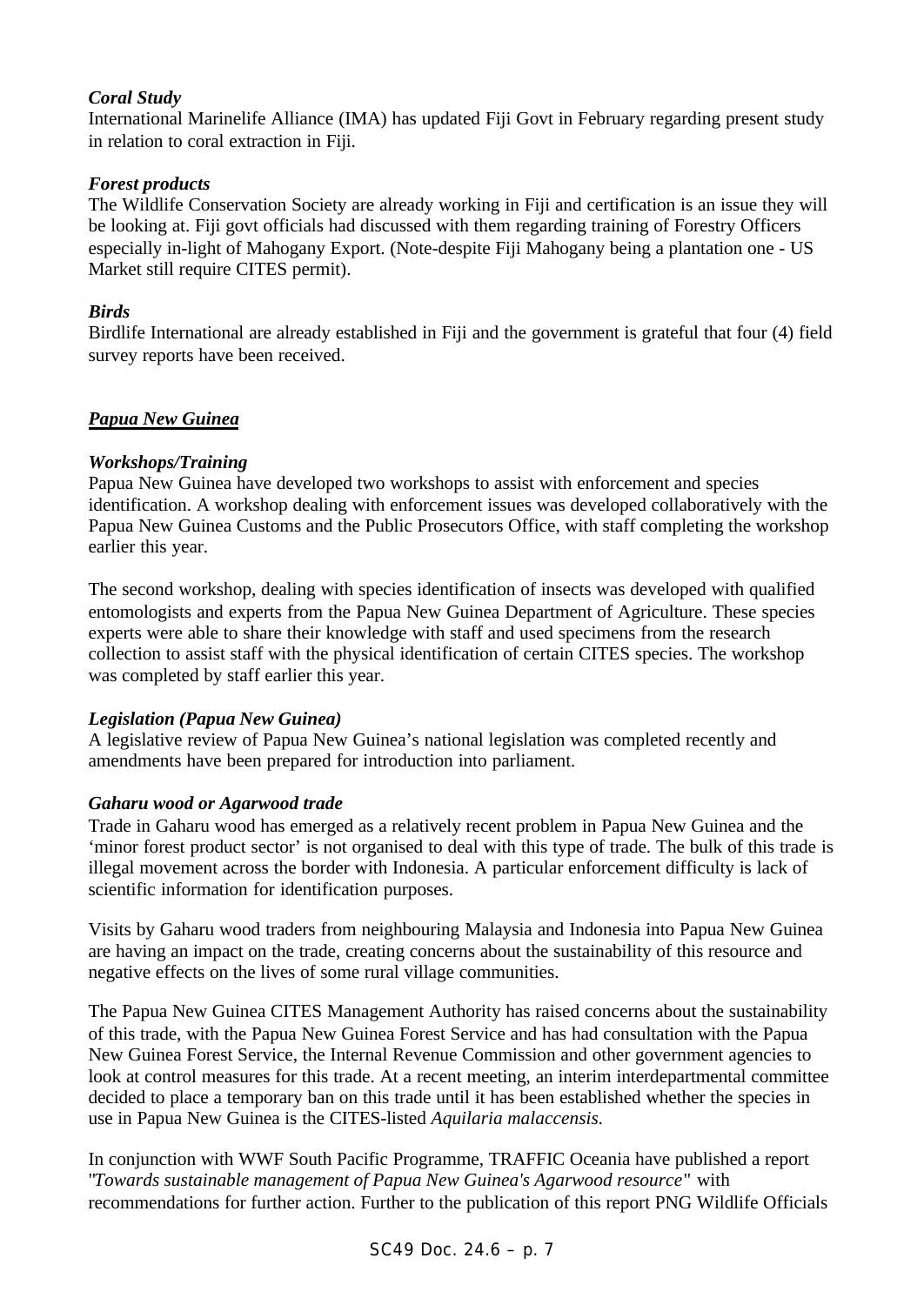## *Coral Study*

International Marinelife Alliance (IMA) has updated Fiji Govt in February regarding present study in relation to coral extraction in Fiji.

## *Forest products*

The Wildlife Conservation Society are already working in Fiji and certification is an issue they will be looking at. Fiji govt officials had discussed with them regarding training of Forestry Officers especially in-light of Mahogany Export. (Note-despite Fiji Mahogany being a plantation one - US Market still require CITES permit).

## *Birds*

Birdlife International are already established in Fiji and the government is grateful that four (4) field survey reports have been received.

## *Papua New Guinea*

## *Workshops/Training*

Papua New Guinea have developed two workshops to assist with enforcement and species identification. A workshop dealing with enforcement issues was developed collaboratively with the Papua New Guinea Customs and the Public Prosecutors Office, with staff completing the workshop earlier this year.

The second workshop, dealing with species identification of insects was developed with qualified entomologists and experts from the Papua New Guinea Department of Agriculture. These species experts were able to share their knowledge with staff and used specimens from the research collection to assist staff with the physical identification of certain CITES species. The workshop was completed by staff earlier this year.

## *Legislation (Papua New Guinea)*

A legislative review of Papua New Guinea's national legislation was completed recently and amendments have been prepared for introduction into parliament.

## *Gaharu wood or Agarwood trade*

Trade in Gaharu wood has emerged as a relatively recent problem in Papua New Guinea and the 'minor forest product sector' is not organised to deal with this type of trade. The bulk of this trade is illegal movement across the border with Indonesia. A particular enforcement difficulty is lack of scientific information for identification purposes.

Visits by Gaharu wood traders from neighbouring Malaysia and Indonesia into Papua New Guinea are having an impact on the trade, creating concerns about the sustainability of this resource and negative effects on the lives of some rural village communities.

The Papua New Guinea CITES Management Authority has raised concerns about the sustainability of this trade, with the Papua New Guinea Forest Service and has had consultation with the Papua New Guinea Forest Service, the Internal Revenue Commission and other government agencies to look at control measures for this trade. At a recent meeting, an interim interdepartmental committee decided to place a temporary ban on this trade until it has been established whether the species in use in Papua New Guinea is the CITES-listed *Aquilaria malaccensis.*

In conjunction with WWF South Pacific Programme, TRAFFIC Oceania have published a report "*Towards sustainable management of Papua New Guinea's Agarwood resource*" with recommendations for further action. Further to the publication of this report PNG Wildlife Officials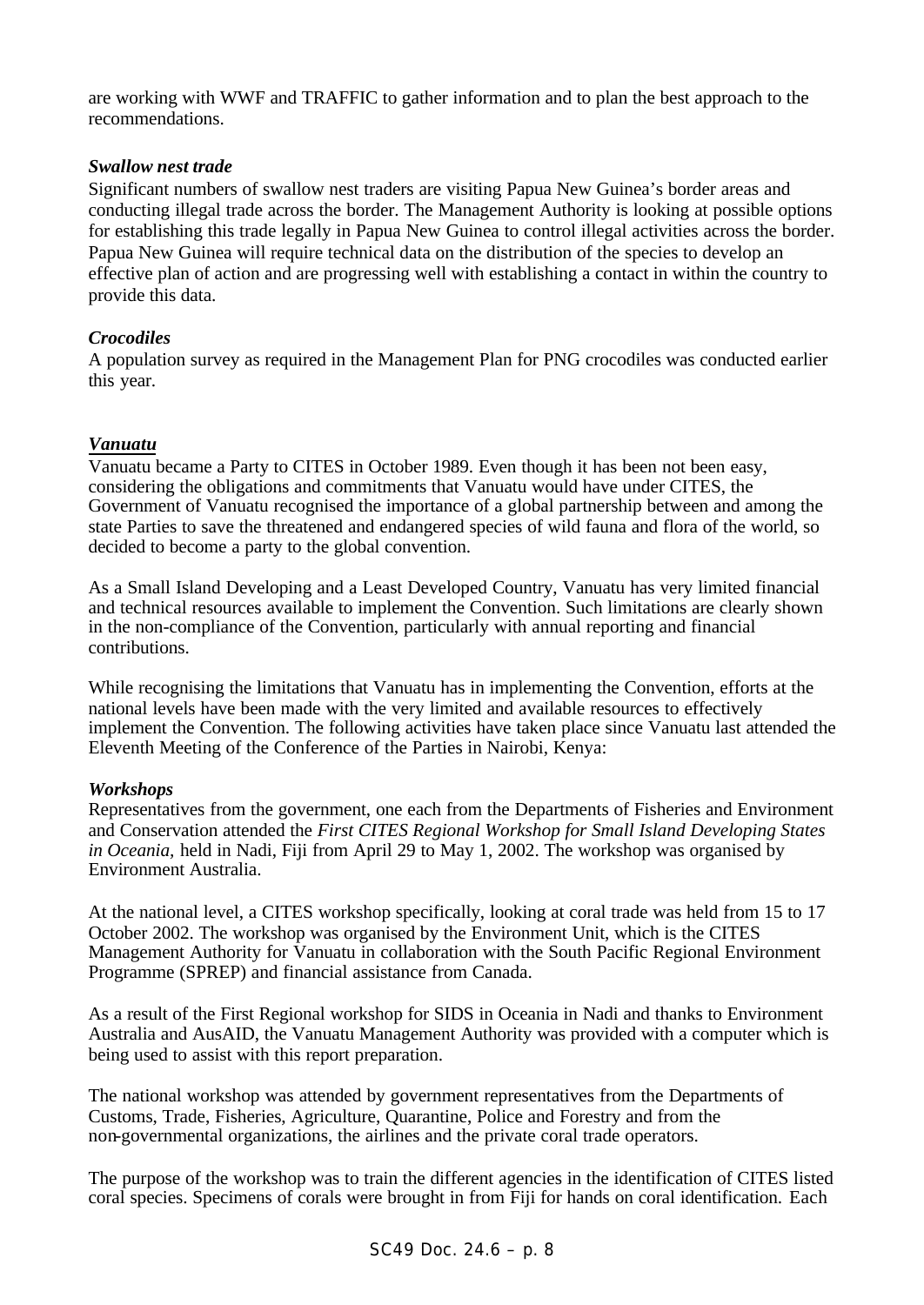are working with WWF and TRAFFIC to gather information and to plan the best approach to the recommendations.

#### *Swallow nest trade*

Significant numbers of swallow nest traders are visiting Papua New Guinea's border areas and conducting illegal trade across the border. The Management Authority is looking at possible options for establishing this trade legally in Papua New Guinea to control illegal activities across the border. Papua New Guinea will require technical data on the distribution of the species to develop an effective plan of action and are progressing well with establishing a contact in within the country to provide this data.

#### *Crocodiles*

A population survey as required in the Management Plan for PNG crocodiles was conducted earlier this year.

#### *Vanuatu*

Vanuatu became a Party to CITES in October 1989. Even though it has been not been easy, considering the obligations and commitments that Vanuatu would have under CITES, the Government of Vanuatu recognised the importance of a global partnership between and among the state Parties to save the threatened and endangered species of wild fauna and flora of the world, so decided to become a party to the global convention.

As a Small Island Developing and a Least Developed Country, Vanuatu has very limited financial and technical resources available to implement the Convention. Such limitations are clearly shown in the non-compliance of the Convention, particularly with annual reporting and financial contributions.

While recognising the limitations that Vanuatu has in implementing the Convention, efforts at the national levels have been made with the very limited and available resources to effectively implement the Convention. The following activities have taken place since Vanuatu last attended the Eleventh Meeting of the Conference of the Parties in Nairobi, Kenya:

#### *Workshops*

Representatives from the government, one each from the Departments of Fisheries and Environment and Conservation attended the *First CITES Regional Workshop for Small Island Developing States in Oceania,* held in Nadi, Fiji from April 29 to May 1, 2002. The workshop was organised by Environment Australia.

At the national level, a CITES workshop specifically, looking at coral trade was held from 15 to 17 October 2002. The workshop was organised by the Environment Unit, which is the CITES Management Authority for Vanuatu in collaboration with the South Pacific Regional Environment Programme (SPREP) and financial assistance from Canada.

As a result of the First Regional workshop for SIDS in Oceania in Nadi and thanks to Environment Australia and AusAID, the Vanuatu Management Authority was provided with a computer which is being used to assist with this report preparation.

The national workshop was attended by government representatives from the Departments of Customs, Trade, Fisheries, Agriculture, Quarantine, Police and Forestry and from the non-governmental organizations, the airlines and the private coral trade operators.

The purpose of the workshop was to train the different agencies in the identification of CITES listed coral species. Specimens of corals were brought in from Fiji for hands on coral identification. Each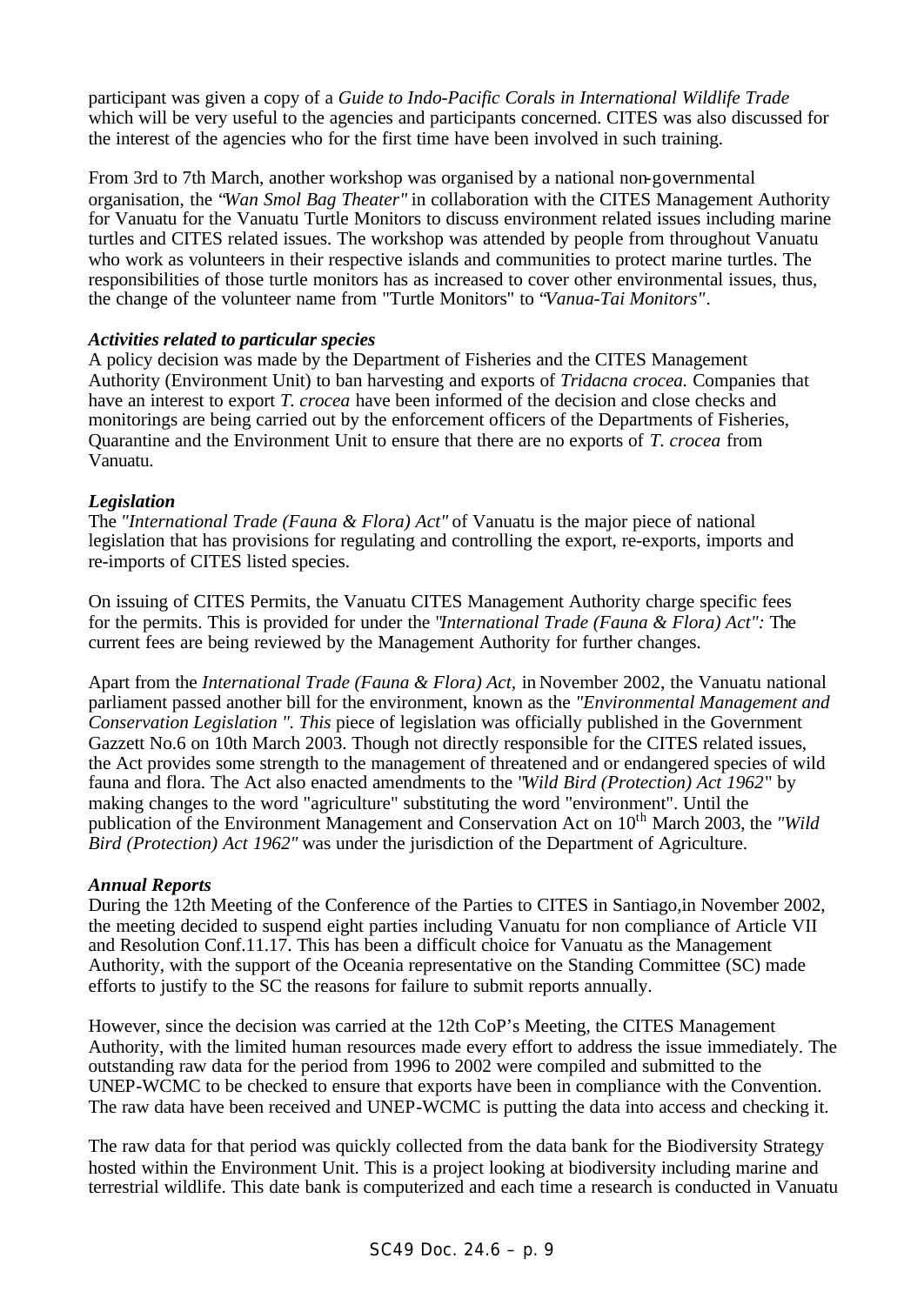participant was given a copy of a *Guide to Indo-Pacific Corals in International Wildlife Trade* which will be very useful to the agencies and participants concerned. CITES was also discussed for the interest of the agencies who for the first time have been involved in such training.

From 3rd to 7th March, another workshop was organised by a national non-governmental organisation, the "*Wan Smol Bag Theater"* in collaboration with the CITES Management Authority for Vanuatu for the Vanuatu Turtle Monitors to discuss environment related issues including marine turtles and CITES related issues. The workshop was attended by people from throughout Vanuatu who work as volunteers in their respective islands and communities to protect marine turtles. The responsibilities of those turtle monitors has as increased to cover other environmental issues, thus, the change of the volunteer name from "Turtle Monitors" to "*Vanua-Tai Monitors".*

## *Activities related to particular species*

A policy decision was made by the Department of Fisheries and the CITES Management Authority (Environment Unit) to ban harvesting and exports of *Tridacna crocea.* Companies that have an interest to export *T. crocea* have been informed of the decision and close checks and monitorings are being carried out by the enforcement officers of the Departments of Fisheries, Quarantine and the Environment Unit to ensure that there are no exports of *T. crocea* from Vanuatu.

#### *Legislation*

The *"International Trade (Fauna & Flora) Act"* of Vanuatu is the major piece of national legislation that has provisions for regulating and controlling the export, re-exports, imports and re-imports of CITES listed species.

On issuing of CITES Permits, the Vanuatu CITES Management Authority charge specific fees for the permits. This is provided for under the "*International Trade (Fauna & Flora) Act":* The current fees are being reviewed by the Management Authority for further changes.

Apart from the *International Trade (Fauna & Flora) Act,* in November 2002, the Vanuatu national parliament passed another bill for the environment, known as the *"Environmental Management and Conservation Legislation ". This* piece of legislation was officially published in the Government Gazzett No.6 on 10th March 2003. Though not directly responsible for the CITES related issues, the Act provides some strength to the management of threatened and or endangered species of wild fauna and flora. The Act also enacted amendments to the "*Wild Bird (Protection) Act 1962*" by making changes to the word "agriculture" substituting the word "environment". Until the publication of the Environment Management and Conservation Act on 10<sup>th</sup> March 2003, the *"Wild*" *Bird (Protection) Act 1962"* was under the jurisdiction of the Department of Agriculture.

#### *Annual Reports*

During the 12th Meeting of the Conference of the Parties to CITES in Santiago,in November 2002, the meeting decided to suspend eight parties including Vanuatu for non compliance of Article VII and Resolution Conf.11.17. This has been a difficult choice for Vanuatu as the Management Authority, with the support of the Oceania representative on the Standing Committee (SC) made efforts to justify to the SC the reasons for failure to submit reports annually.

However, since the decision was carried at the 12th CoP's Meeting, the CITES Management Authority, with the limited human resources made every effort to address the issue immediately. The outstanding raw data for the period from 1996 to 2002 were compiled and submitted to the UNEP-WCMC to be checked to ensure that exports have been in compliance with the Convention. The raw data have been received and UNEP-WCMC is putting the data into access and checking it.

The raw data for that period was quickly collected from the data bank for the Biodiversity Strategy hosted within the Environment Unit. This is a project looking at biodiversity including marine and terrestrial wildlife. This date bank is computerized and each time a research is conducted in Vanuatu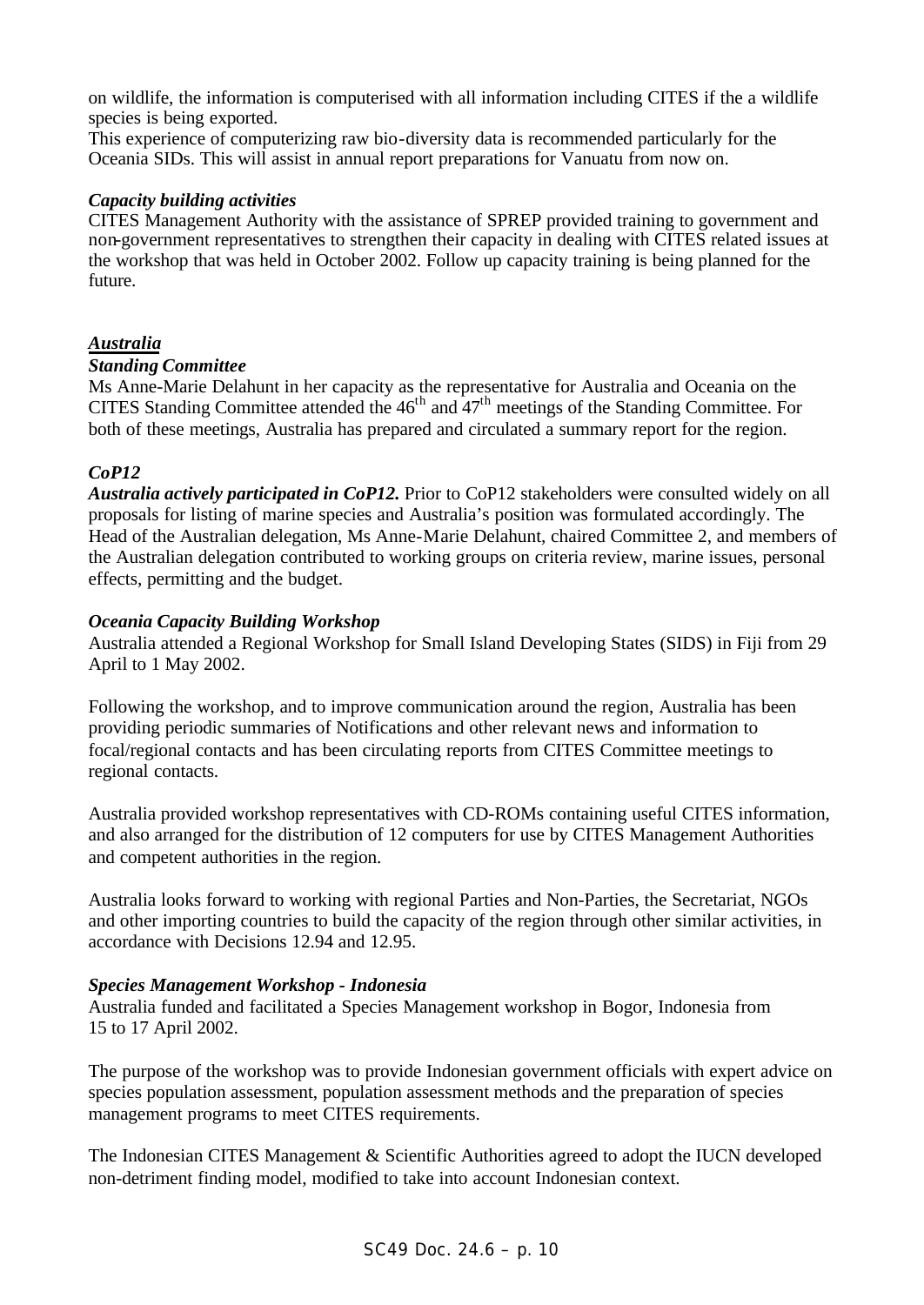on wildlife, the information is computerised with all information including CITES if the a wildlife species is being exported.

This experience of computerizing raw bio-diversity data is recommended particularly for the Oceania SIDs. This will assist in annual report preparations for Vanuatu from now on.

#### *Capacity building activities*

CITES Management Authority with the assistance of SPREP provided training to government and non-government representatives to strengthen their capacity in dealing with CITES related issues at the workshop that was held in October 2002. Follow up capacity training is being planned for the future.

## *Australia*

#### *Standing Committee*

Ms Anne-Marie Delahunt in her capacity as the representative for Australia and Oceania on the CITES Standing Committee attended the  $46<sup>th</sup>$  and  $47<sup>th</sup>$  meetings of the Standing Committee. For both of these meetings, Australia has prepared and circulated a summary report for the region.

## *CoP12*

*Australia actively participated in CoP12.* Prior to CoP12 stakeholders were consulted widely on all proposals for listing of marine species and Australia's position was formulated accordingly. The Head of the Australian delegation, Ms Anne-Marie Delahunt, chaired Committee 2, and members of the Australian delegation contributed to working groups on criteria review, marine issues, personal effects, permitting and the budget.

#### *Oceania Capacity Building Workshop*

Australia attended a Regional Workshop for Small Island Developing States (SIDS) in Fiji from 29 April to 1 May 2002.

Following the workshop, and to improve communication around the region, Australia has been providing periodic summaries of Notifications and other relevant news and information to focal/regional contacts and has been circulating reports from CITES Committee meetings to regional contacts.

Australia provided workshop representatives with CD-ROMs containing useful CITES information, and also arranged for the distribution of 12 computers for use by CITES Management Authorities and competent authorities in the region.

Australia looks forward to working with regional Parties and Non-Parties, the Secretariat, NGOs and other importing countries to build the capacity of the region through other similar activities, in accordance with Decisions 12.94 and 12.95.

#### *Species Management Workshop - Indonesia*

Australia funded and facilitated a Species Management workshop in Bogor, Indonesia from 15 to 17 April 2002.

The purpose of the workshop was to provide Indonesian government officials with expert advice on species population assessment, population assessment methods and the preparation of species management programs to meet CITES requirements.

The Indonesian CITES Management & Scientific Authorities agreed to adopt the IUCN developed non-detriment finding model, modified to take into account Indonesian context.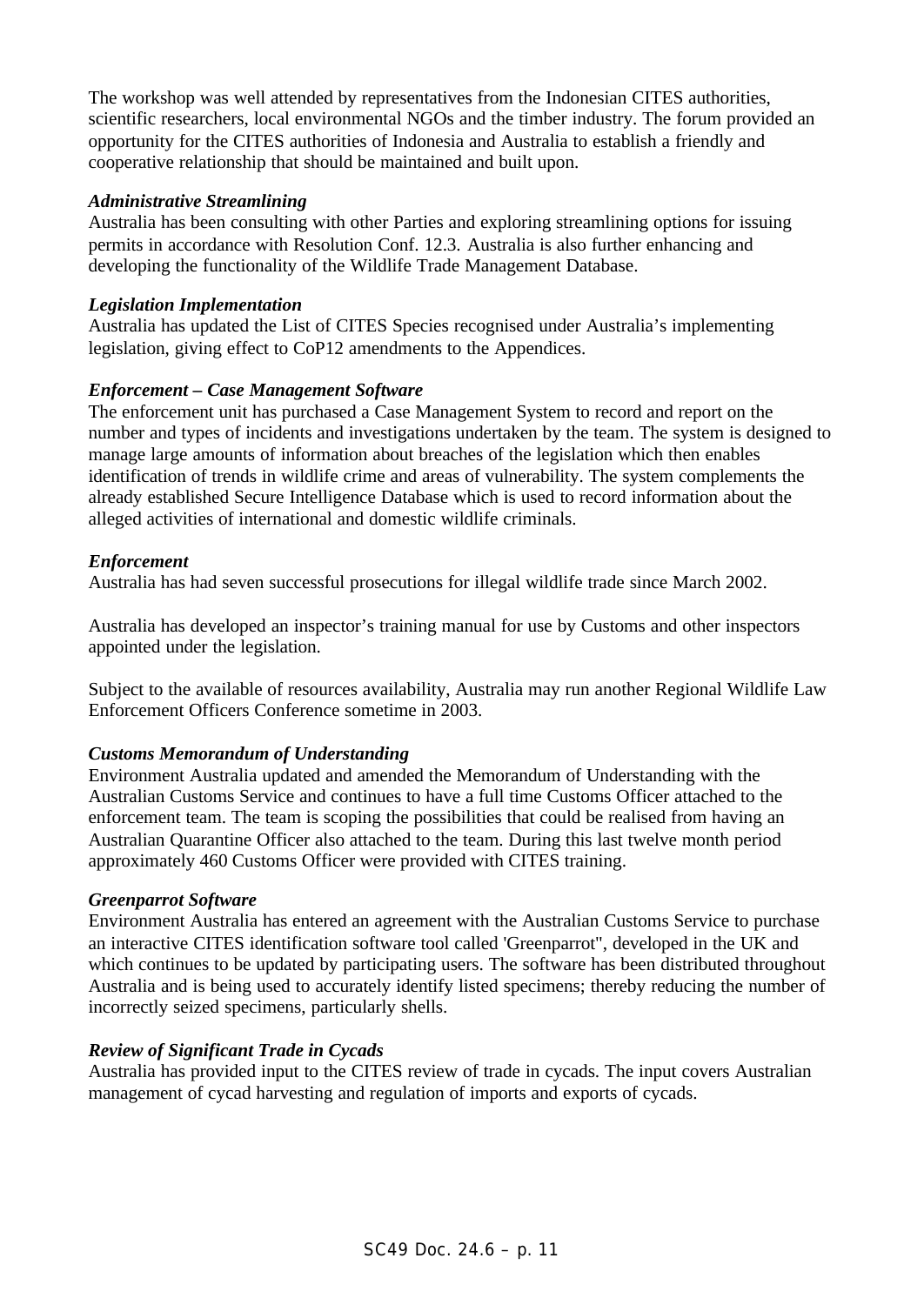The workshop was well attended by representatives from the Indonesian CITES authorities, scientific researchers, local environmental NGOs and the timber industry. The forum provided an opportunity for the CITES authorities of Indonesia and Australia to establish a friendly and cooperative relationship that should be maintained and built upon.

### *Administrative Streamlining*

Australia has been consulting with other Parties and exploring streamlining options for issuing permits in accordance with Resolution Conf. 12.3. Australia is also further enhancing and developing the functionality of the Wildlife Trade Management Database.

#### *Legislation Implementation*

Australia has updated the List of CITES Species recognised under Australia's implementing legislation, giving effect to CoP12 amendments to the Appendices.

## *Enforcement – Case Management Software*

The enforcement unit has purchased a Case Management System to record and report on the number and types of incidents and investigations undertaken by the team. The system is designed to manage large amounts of information about breaches of the legislation which then enables identification of trends in wildlife crime and areas of vulnerability. The system complements the already established Secure Intelligence Database which is used to record information about the alleged activities of international and domestic wildlife criminals.

## *Enforcement*

Australia has had seven successful prosecutions for illegal wildlife trade since March 2002.

Australia has developed an inspector's training manual for use by Customs and other inspectors appointed under the legislation.

Subject to the available of resources availability, Australia may run another Regional Wildlife Law Enforcement Officers Conference sometime in 2003.

## *Customs Memorandum of Understanding*

Environment Australia updated and amended the Memorandum of Understanding with the Australian Customs Service and continues to have a full time Customs Officer attached to the enforcement team. The team is scoping the possibilities that could be realised from having an Australian Quarantine Officer also attached to the team. During this last twelve month period approximately 460 Customs Officer were provided with CITES training.

#### *Greenparrot Software*

Environment Australia has entered an agreement with the Australian Customs Service to purchase an interactive CITES identification software tool called 'Greenparrot", developed in the UK and which continues to be updated by participating users. The software has been distributed throughout Australia and is being used to accurately identify listed specimens; thereby reducing the number of incorrectly seized specimens, particularly shells.

## *Review of Significant Trade in Cycads*

Australia has provided input to the CITES review of trade in cycads. The input covers Australian management of cycad harvesting and regulation of imports and exports of cycads.